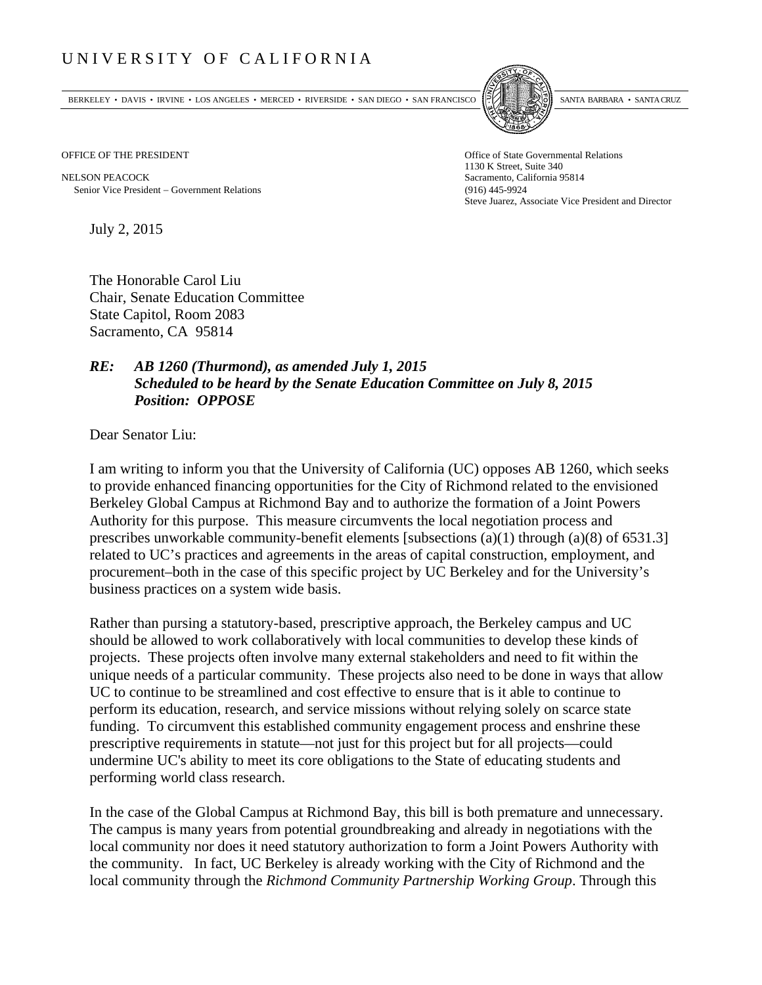## UNIVERSITY OF CALIFORNIA

BERKELEY • DAVIS • IRVINE • LOS ANGELES • MERCED • RIVERSIDE • SAN DIEGO • SAN FRANCISCO SANTA BARBARA • SANTA CRUZ



OFFICE OF THE PRESIDENT STATES OF THE PRESIDENT

NELSON PEACOCK Sacramento, California 95814 Senior Vice President Government Relations (916) 445-9924

1130 K Street, Suite 340 Steve Juarez, Associate Vice President and Director

July 2, 2015

The Honorable Carol Liu Chair, Senate Education Committee State Capitol, Room 2083 Sacramento, CA 95814

## *RE: AB 1260 (Thurmond), as amended July 1, 2015 Scheduled to be heard by the Senate Education Committee on July 8, 2015 Position: OPPOSE*

Dear Senator Liu:

I am writing to inform you that the University of California (UC) opposes AB 1260, which seeks to provide enhanced financing opportunities for the City of Richmond related to the envisioned Berkeley Global Campus at Richmond Bay and to authorize the formation of a Joint Powers Authority for this purpose. This measure circumvents the local negotiation process and prescribes unworkable community-benefit elements [subsections (a)(1) through (a)(8) of 6531.3] related to UC's practices and agreements in the areas of capital construction, employment, and procurement–both in the case of this specific project by UC Berkeley and for the University's business practices on a system wide basis.

Rather than pursing a statutory-based, prescriptive approach, the Berkeley campus and UC should be allowed to work collaboratively with local communities to develop these kinds of projects. These projects often involve many external stakeholders and need to fit within the unique needs of a particular community. These projects also need to be done in ways that allow UC to continue to be streamlined and cost effective to ensure that is it able to continue to perform its education, research, and service missions without relying solely on scarce state funding. To circumvent this established community engagement process and enshrine these prescriptive requirements in statute—not just for this project but for all projects—could undermine UC's ability to meet its core obligations to the State of educating students and performing world class research.

In the case of the Global Campus at Richmond Bay, this bill is both premature and unnecessary. The campus is many years from potential groundbreaking and already in negotiations with the local community nor does it need statutory authorization to form a Joint Powers Authority with the community. In fact, UC Berkeley is already working with the City of Richmond and the local community through the *Richmond Community Partnership Working Group*. Through this